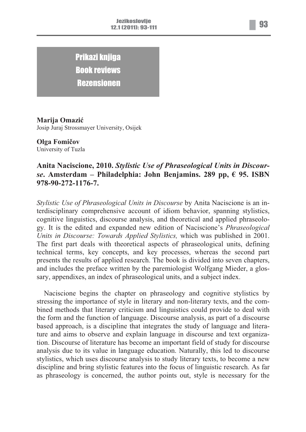Prikazi knjiga Book reviews Rezensionen

**Marija Omazić** Josip Juraj Strossmayer University, Osijek

## **Olga Fomičov** University of Tuzla

## **Anita Naciscione, 2010.** *Stylistic Use of Phraseological Units in Discourse***. Amsterdam – Philadelphia: John Benjamins. 289 pp, € 95. ISBN 978-90-272-1176-7.**

*Stylistic Use of Phraseological Units in Discourse* by Anita Naciscione is an interdisciplinary comprehensive account of idiom behavior, spanning stylistics, cognitive linguistics, discourse analysis, and theoretical and applied phraseology. It is the edited and expanded new edition of Naciscione's *Phraseological Units in Discourse: Towards Applied Stylistics,* which was published in 2001. The first part deals with theoretical aspects of phraseological units, defining technical terms, key concepts, and key processes, whereas the second part presents the results of applied research. The book is divided into seven chapters, and includes the preface written by the paremiologist Wolfgang Mieder, a glossary, appendixes, an index of phraseological units, and a subject index.

Naciscione begins the chapter on phraseology and cognitive stylistics by stressing the importance of style in literary and non-literary texts, and the combined methods that literary criticism and linguistics could provide to deal with the form and the function of language. Discourse analysis, as part of a discourse based approach, is a discipline that integrates the study of language and literature and aims to observe and explain language in discourse and text organization. Discourse of literature has become an important field of study for discourse analysis due to its value in language education. Naturally, this led to discourse stylistics, which uses discourse analysis to study literary texts, to become a new discipline and bring stylistic features into the focus of linguistic research. As far as phraseology is concerned, the author points out, style is necessary for the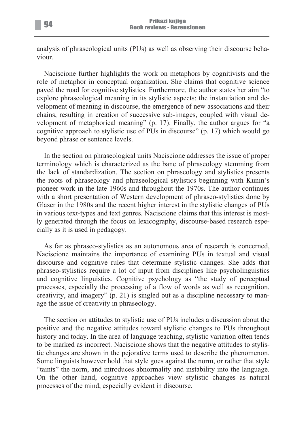analysis of phraseological units (PUs) as well as observing their discourse behaviour.

Naciscione further highlights the work on metaphors by cognitivists and the role of metaphor in conceptual organization. She claims that cognitive science paved the road for cognitive stylistics. Furthermore, the author states her aim "to explore phraseological meaning in its stylistic aspects: the instantiation and development of meaning in discourse, the emergence of new associations and their chains, resulting in creation of successive sub-images, coupled with visual development of metaphorical meaning" (p. 17). Finally, the author argues for "a cognitive approach to stylistic use of PUs in discourse" (p. 17) which would go beyond phrase or sentence levels.

In the section on phraseological units Naciscione addresses the issue of proper terminology which is characterized as the bane of phraseology stemming from the lack of standardization. The section on phraseology and stylistics presents the roots of phraseology and phraseological stylistics beginning with Kunin's pioneer work in the late 1960s and throughout the 1970s. The author continues with a short presentation of Western development of phraseo-stylistics done by Gläser in the 1980s and the recent higher interest in the stylistic changes of PUs in various text-types and text genres. Naciscione claims that this interest is mostly generated through the focus on lexicography, discourse-based research especially as it is used in pedagogy.

As far as phraseo-stylistics as an autonomous area of research is concerned, Naciscione maintains the importance of examining PUs in textual and visual discourse and cognitive rules that determine stylistic changes. She adds that phraseo-stylistics require a lot of input from disciplines like psycholinguistics and cognitive linguistics. Cognitive psychology as "the study of perceptual processes, especially the processing of a flow of words as well as recognition, creativity, and imagery" (p. 21) is singled out as a discipline necessary to manage the issue of creativity in phraseology.

The section on attitudes to stylistic use of PUs includes a discussion about the positive and the negative attitudes toward stylistic changes to PUs throughout history and today. In the area of language teaching, stylistic variation often tends to be marked as incorrect. Naciscione shows that the negative attitudes to stylistic changes are shown in the pejorative terms used to describe the phenomenon. Some linguists however hold that style goes against the norm, or rather that style "taints" the norm, and introduces abnormality and instability into the language. On the other hand, cognitive approaches view stylistic changes as natural processes of the mind, especially evident in discourse.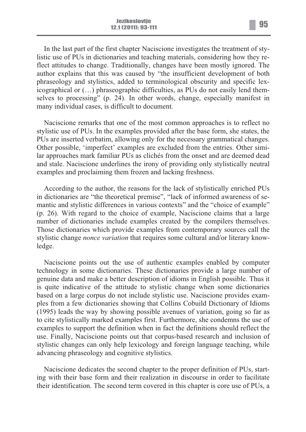In the last part of the first chapter Naciscione investigates the treatment of stylistic use of PUs in dictionaries and teaching materials, considering how they reflect attitudes to change. Traditionally, changes have been mostly ignored. The author explains that this was caused by "the insufficient development of both phraseology and stylistics, added to terminological obscurity and specific lexicographical or (…) phraseographic difficulties, as PUs do not easily lend themselves to processing" (p. 24). In other words, change, especially manifest in many individual cases, is difficult to document.

Naciscione remarks that one of the most common approaches is to reflect no stylistic use of PUs. In the examples provided after the base form, she states, the PUs are inserted verbatim, allowing only for the necessary grammatical changes. Other possible, 'imperfect' examples are excluded from the entries. Other similar approaches mark familiar PUs as clichés from the onset and are deemed dead and stale. Naciscione underlines the irony of providing only stylistically neutral examples and proclaiming them frozen and lacking freshness.

According to the author, the reasons for the lack of stylistically enriched PUs in dictionaries are "the theoretical premise", "lack of informed awareness of semantic and stylistic differences in various contexts" and the "choice of example" (p. 26). With regard to the choice of example, Naciscione claims that a large number of dictionaries include examples created by the compilers themselves. Those dictionaries which provide examples from contemporary sources call the stylistic change *nonce variation* that requires some cultural and/or literary knowledge.

Naciscione points out the use of authentic examples enabled by computer technology in some dictionaries. These dictionaries provide a large number of genuine data and make a better description of idioms in English possible. Thus it is quite indicative of the attitude to stylistic change when some dictionaries based on a large corpus do not include stylistic use. Naciscione provides examples from a few dictionaries showing that Collins Cobuild Dictionary of Idioms (1995) leads the way by showing possible avenues of variation, going so far as to cite stylistically marked examples first. Furthermore, she condemns the use of examples to support the definition when in fact the definitions should reflect the use. Finally, Naciscione points out that corpus-based research and inclusion of stylistic changes can only help lexicology and foreign language teaching, while advancing phraseology and cognitive stylistics.

Naciscione dedicates the second chapter to the proper definition of PUs, starting with their base form and their realization in discourse in order to facilitate their identification. The second term covered in this chapter is core use of PUs, a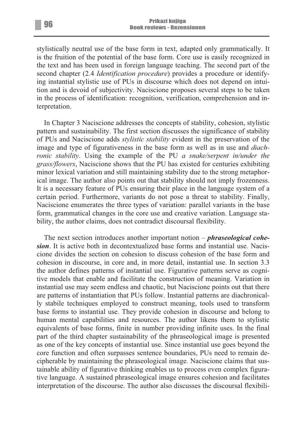stylistically neutral use of the base form in text, adapted only grammatically. It is the fruition of the potential of the base form. Core use is easily recognized in the text and has been used in foreign language teaching. The second part of the second chapter (2.4 *Identification procedure*) provides a procedure or identifying instantial stylistic use of PUs in discourse which does not depend on intuition and is devoid of subjectivity. Naciscione proposes several steps to be taken in the process of identification: recognition, verification, comprehension and interpretation.

In Chapter 3 Naciscione addresses the concepts of stability, cohesion, stylistic pattern and sustainability. The first section discusses the significance of stability of PUs and Naciscione adds *stylistic stability* evident in the preservation of the image and type of figurativeness in the base form as well as in use and *diachronic stability*. Using the example of the PU *a snake/serpent in/under the grass/flowers*, Naciscione shows that the PU has existed for centuries exhibiting minor lexical variation and still maintaining stability due to the strong metaphorical image. The author also points out that stability should not imply frozenness. It is a necessary feature of PUs ensuring their place in the language system of a certain period. Furthermore, variants do not pose a threat to stability. Finally, Naciscione enumerates the three types of variation: parallel variants in the base form, grammatical changes in the core use and creative variation. Language stability, the author claims, does not contradict discoursal flexibility.

The next section introduces another important notion – *phraseological cohesion*. It is active both in decontextualized base forms and instantial use. Naciscione divides the section on cohesion to discuss cohesion of the base form and cohesion in discourse, in core and, in more detail, instantial use. In section 3.3 the author defines patterns of instantial use. Figurative patterns serve as cognitive models that enable and facilitate the construction of meaning. Variation in instantial use may seem endless and chaotic, but Naciscione points out that there are patterns of instantiation that PUs follow. Instantial patterns are diachronically stabile techniques employed to construct meaning, tools used to transform base forms to instantial use. They provide cohesion in discourse and belong to human mental capabilities and resources. The author likens them to stylistic equivalents of base forms, finite in number providing infinite uses. In the final part of the third chapter sustainability of the phraseological image is presented as one of the key concepts of instantial use. Since instantial use goes beyond the core function and often surpasses sentence boundaries, PUs need to remain decipherable by maintaining the phraseological image. Naciscione claims that sustainable ability of figurative thinking enables us to process even complex figurative language. A sustained phraseological image ensures cohesion and facilitates interpretation of the discourse. The author also discusses the discoursal flexibili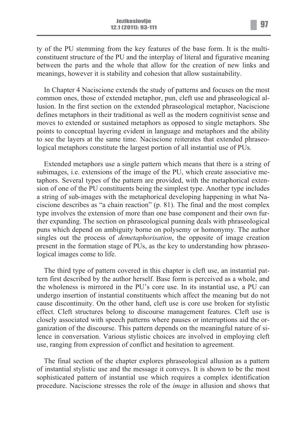meanings, however it is stability and cohesion that allow sustainability.

In Chapter 4 Naciscione extends the study of patterns and focuses on the most common ones, those of extended metaphor, pun, cleft use and phraseological allusion. In the first section on the extended phraseological metaphor, Naciscione defines metaphors in their traditional as well as the modern cognitivist sense and moves to extended or sustained metaphors as opposed to single metaphors. She points to conceptual layering evident in language and metaphors and the ability to see the layers at the same time. Naciscione reiterates that extended phraseological metaphors constitute the largest portion of all instantial use of PUs.

Extended metaphors use a single pattern which means that there is a string of subimages, i.e. extensions of the image of the PU, which create associative metaphors. Several types of the pattern are provided, with the metaphorical extension of one of the PU constituents being the simplest type. Another type includes a string of sub-images with the metaphorical developing happening in what Naciscione describes as "a chain reaction" (p. 81). The final and the most complex type involves the extension of more than one base component and their own further expanding. The section on phraseological punning deals with phraseological puns which depend on ambiguity borne on polysemy or homonymy. The author singles out the process of *demetaphorisation*, the opposite of image creation present in the formation stage of PUs, as the key to understanding how phraseological images come to life.

The third type of pattern covered in this chapter is cleft use, an instantial pattern first described by the author herself. Base form is perceived as a whole, and the wholeness is mirrored in the PU's core use. In its instantial use, a PU can undergo insertion of instantial constituents which affect the meaning but do not cause discontinuity. On the other hand, cleft use is core use broken for stylistic effect. Cleft structures belong to discourse management features. Cleft use is closely associated with speech patterns where pauses or interruptions aid the organization of the discourse. This pattern depends on the meaningful nature of silence in conversation. Various stylistic choices are involved in employing cleft use, ranging from expression of conflict and hesitation to agreement.

The final section of the chapter explores phraseological allusion as a pattern of instantial stylistic use and the message it conveys. It is shown to be the most sophisticated pattern of instantial use which requires a complex identification procedure. Naciscione stresses the role of the *image* in allusion and shows that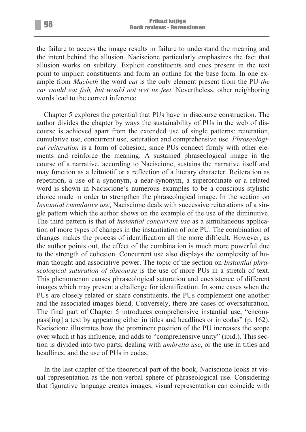the failure to access the image results in failure to understand the meaning and the intent behind the allusion. Naciscione particularly emphasizes the fact that allusion works on subtlety. Explicit constituents and cues present in the text point to implicit constituents and form an outline for the base form. In one example from *Macbeth* the word *cat* is the only element present from the PU *the cat would eat fish, but would not wet its feet*. Nevertheless, other neighboring words lead to the correct inference.

Chapter 5 explores the potential that PUs have in discourse construction. The author divides the chapter by ways the sustainability of PUs in the web of discourse is achieved apart from the extended use of single patterns: reiteration, cumulative use, concurrent use, saturation and comprehensive use. *Phraseological reiteration* is a form of cohesion, since PUs connect firmly with other elements and reinforce the meaning. A sustained phraseological image in the course of a narrative, according to Naciscione, sustains the narrative itself and may function as a leitmotif or a reflection of a literary character. Reiteration as repetition, a use of a synonym, a near-synonym, a superordinate or a related word is shown in Naciscione's numerous examples to be a conscious stylistic choice made in order to strengthen the phraseological image. In the section on *Instantial cumulative use*, Naciscione deals with successive reiterations of a single pattern which the author shows on the example of the use of the diminutive. The third pattern is that of *instantial concurrent use* as a simultaneous application of more types of changes in the instantiation of one PU. The combination of changes makes the process of identification all the more difficult. However, as the author points out, the effect of the combination is much more powerful due to the strength of cohesion. Concurrent use also displays the complexity of human thought and associative power. The topic of the section on *Instantial phraseological saturation of discourse* is the use of more PUs in a stretch of text. This phenomenon causes phraseological saturation and coexistence of different images which may present a challenge for identification. In some cases when the PUs are closely related or share constituents, the PUs complement one another and the associated images blend. Conversely, there are cases of oversaturation. The final part of Chapter 5 introduces comprehensive instantial use, "encompass[ing] a text by appearing either in titles and headlines or in codas" (p. 162). Naciscione illustrates how the prominent position of the PU increases the scope over which it has influence, and adds to "comprehensive unity" (ibid.). This section is divided into two parts, dealing with *umbrella use*, or the use in titles and headlines, and the use of PUs in codas.

In the last chapter of the theoretical part of the book, Naciscione looks at visual representation as the non-verbal sphere of phraseological use. Considering that figurative language creates images, visual representation can coincide with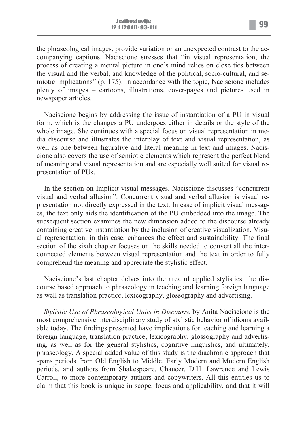the phraseological images, provide variation or an unexpected contrast to the accompanying captions. Naciscione stresses that "in visual representation, the process of creating a mental picture in one's mind relies on close ties between the visual and the verbal, and knowledge of the political, socio-cultural, and semiotic implications" (p. 175). In accordance with the topic, Naciscione includes plenty of images – cartoons, illustrations, cover-pages and pictures used in newspaper articles.

Naciscione begins by addressing the issue of instantiation of a PU in visual form, which is the changes a PU undergoes either in details or the style of the whole image. She continues with a special focus on visual representation in media discourse and illustrates the interplay of text and visual representation, as well as one between figurative and literal meaning in text and images. Naciscione also covers the use of semiotic elements which represent the perfect blend of meaning and visual representation and are especially well suited for visual representation of PUs.

In the section on Implicit visual messages, Naciscione discusses "concurrent visual and verbal allusion". Concurrent visual and verbal allusion is visual representation not directly expressed in the text. In case of implicit visual messages, the text only aids the identification of the PU embedded into the image. The subsequent section examines the new dimension added to the discourse already containing creative instantiation by the inclusion of creative visualization. Visual representation, in this case, enhances the effect and sustainability. The final section of the sixth chapter focuses on the skills needed to convert all the interconnected elements between visual representation and the text in order to fully comprehend the meaning and appreciate the stylistic effect.

Naciscione's last chapter delves into the area of applied stylistics, the discourse based approach to phraseology in teaching and learning foreign language as well as translation practice, lexicography, glossography and advertising.

*Stylistic Use of Phraseological Units in Discourse* by Anita Naciscione is the most comprehensive interdisciplinary study of stylistic behavior of idioms available today. The findings presented have implications for teaching and learning a foreign language, translation practice, lexicography, glossography and advertising, as well as for the general stylistics, cognitive linguistics, and ultimately, phraseology. A special added value of this study is the diachronic approach that spans periods from Old English to Middle, Early Modern and Modern English periods, and authors from Shakespeare, Chaucer, D.H. Lawrence and Lewis Carroll, to more contemporary authors and copywriters. All this entitles us to claim that this book is unique in scope, focus and applicability, and that it will